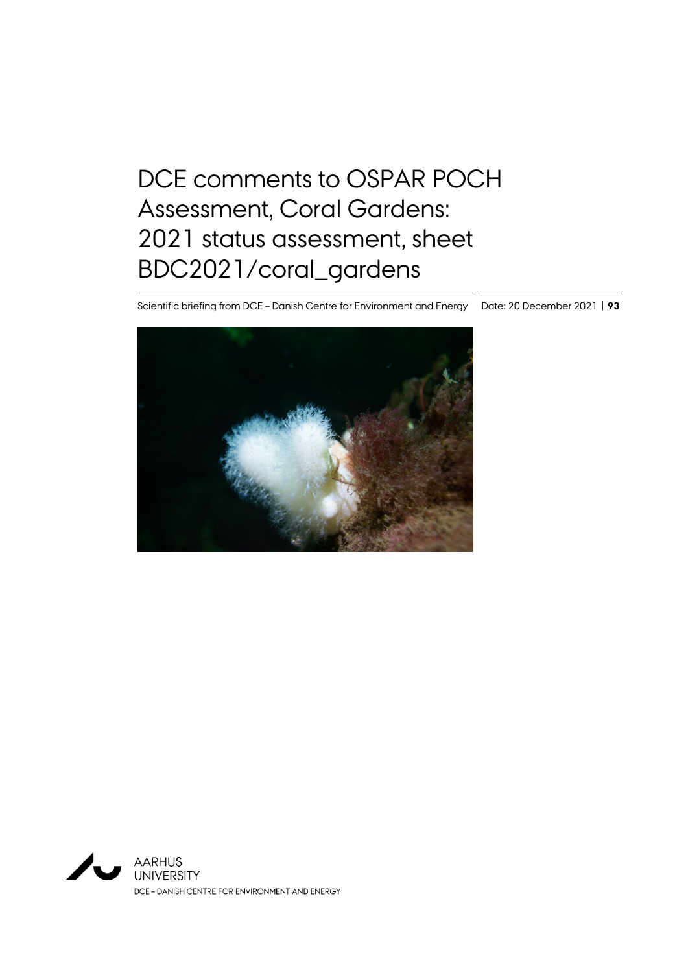# DCE comments to OSPAR POCH Assessment, Coral Gardens: 2021 status assessment, sheet BDC2021/coral\_gardens

Scientific briefing from DCE – Danish Centre for Environment and Energy Date: 20 December 2021 | **93**



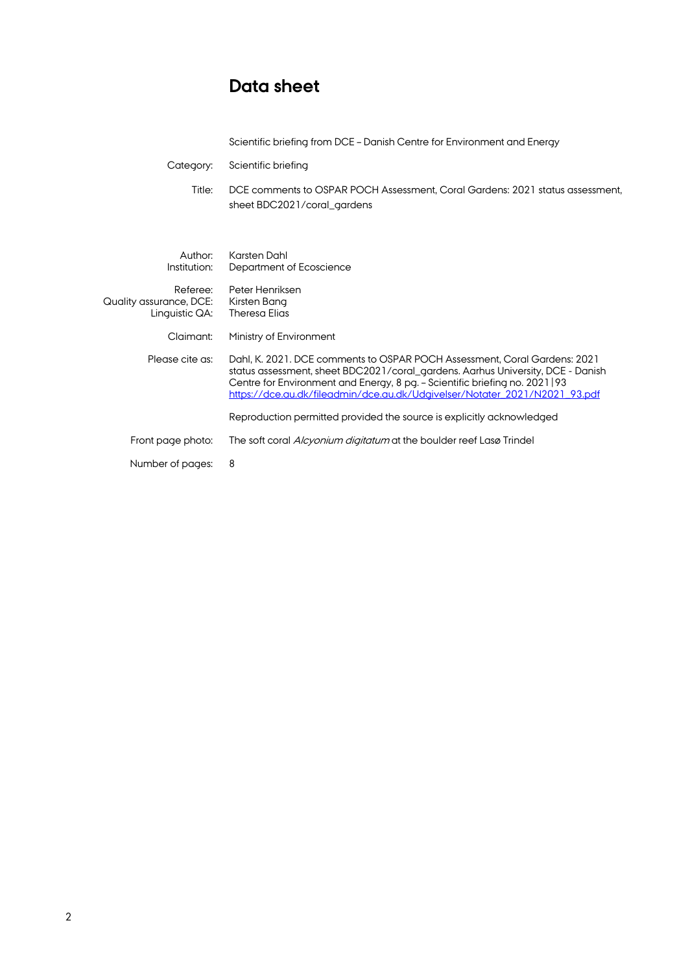# **Data sheet**

| Scientific briefing from DCE - Danish Centre for Environment and Energy |  |  |
|-------------------------------------------------------------------------|--|--|
|-------------------------------------------------------------------------|--|--|

Category: Scientific briefing

Title: DCE comments to OSPAR POCH Assessment, Coral Gardens: 2021 status assessment, sheet BDC2021/coral\_gardens

| Author:<br>Institution:                               | Karsten Dahl<br>Department of Ecoscience                                                                                                                                                                                                                                                                                   |
|-------------------------------------------------------|----------------------------------------------------------------------------------------------------------------------------------------------------------------------------------------------------------------------------------------------------------------------------------------------------------------------------|
| Referee:<br>Quality assurance, DCE:<br>Linguistic QA: | Peter Henriksen<br>Kirsten Bana<br><b>Theresa Elias</b>                                                                                                                                                                                                                                                                    |
| Claimant:                                             | Ministry of Environment                                                                                                                                                                                                                                                                                                    |
| Please cite as:                                       | Dahl, K. 2021. DCE comments to OSPAR POCH Assessment. Coral Gardens: 2021<br>status assessment, sheet BDC2021/coral_gardens. Aarhus University, DCE - Danish<br>Centre for Environment and Energy, 8 pg. - Scientific briefing no. 2021   93<br>https://dce.au.dk/fileadmin/dce.au.dk/Udgivelser/Notater_2021/N2021_93.pdf |
|                                                       | Reproduction permitted provided the source is explicitly acknowledged                                                                                                                                                                                                                                                      |
| Front page photo:                                     | The soft coral <i>Alcyonium digitatum</i> at the boulder reef Lasø Trindel                                                                                                                                                                                                                                                 |
| Number of pages:                                      | 8                                                                                                                                                                                                                                                                                                                          |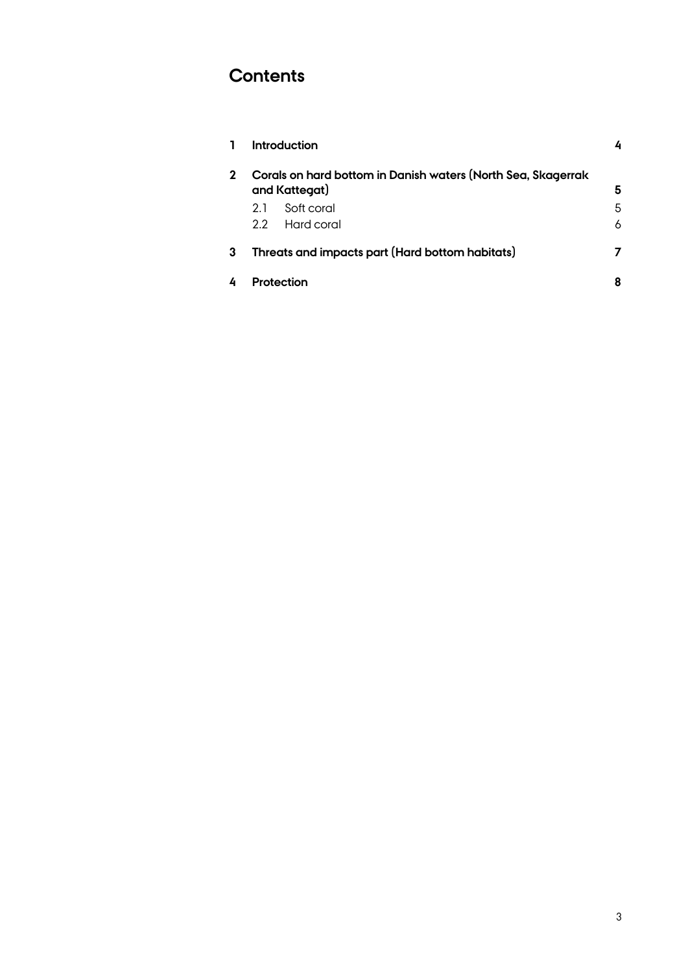# **Contents**

|   |                                                                               | Introduction                                    |   |
|---|-------------------------------------------------------------------------------|-------------------------------------------------|---|
|   | Corals on hard bottom in Danish waters (North Sea, Skagerrak<br>and Kattegat) |                                                 | 5 |
|   | 2.1                                                                           | Soft coral                                      | 5 |
|   | 2.2                                                                           | Hard coral                                      | 6 |
| 3 |                                                                               | Threats and impacts part (Hard bottom habitats) | 7 |
|   |                                                                               | <b>Protection</b>                               | 8 |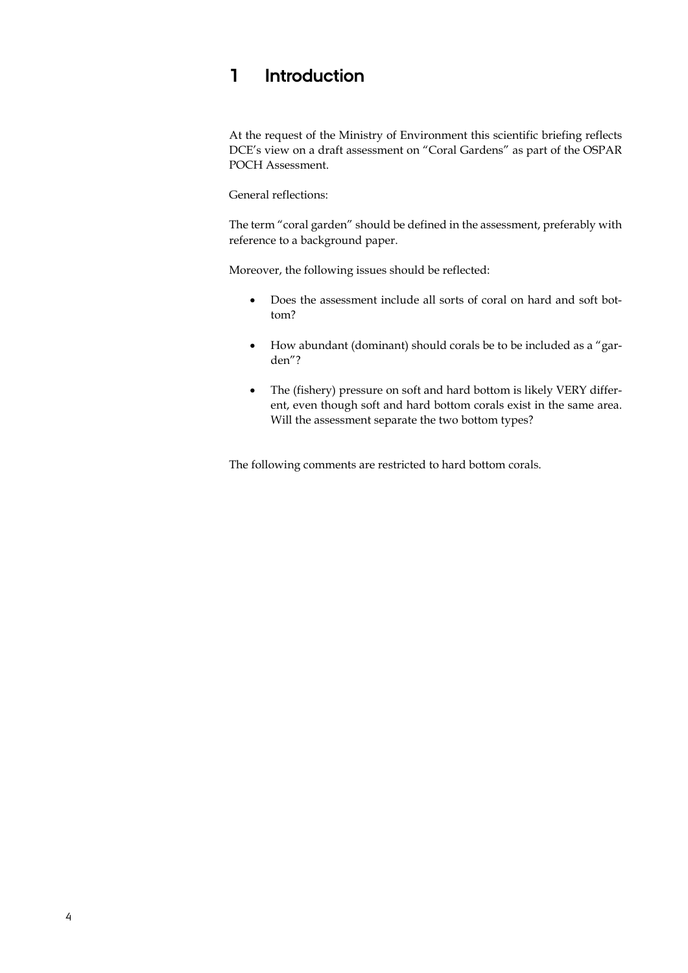### **1 Introduction**

At the request of the Ministry of Environment this scientific briefing reflects DCE's view on a draft assessment on "Coral Gardens" as part of the OSPAR POCH Assessment.

General reflections:

The term "coral garden" should be defined in the assessment, preferably with reference to a background paper.

Moreover, the following issues should be reflected:

- Does the assessment include all sorts of coral on hard and soft bottom?
- How abundant (dominant) should corals be to be included as a "garden"?
- The (fishery) pressure on soft and hard bottom is likely VERY different, even though soft and hard bottom corals exist in the same area. Will the assessment separate the two bottom types?

The following comments are restricted to hard bottom corals.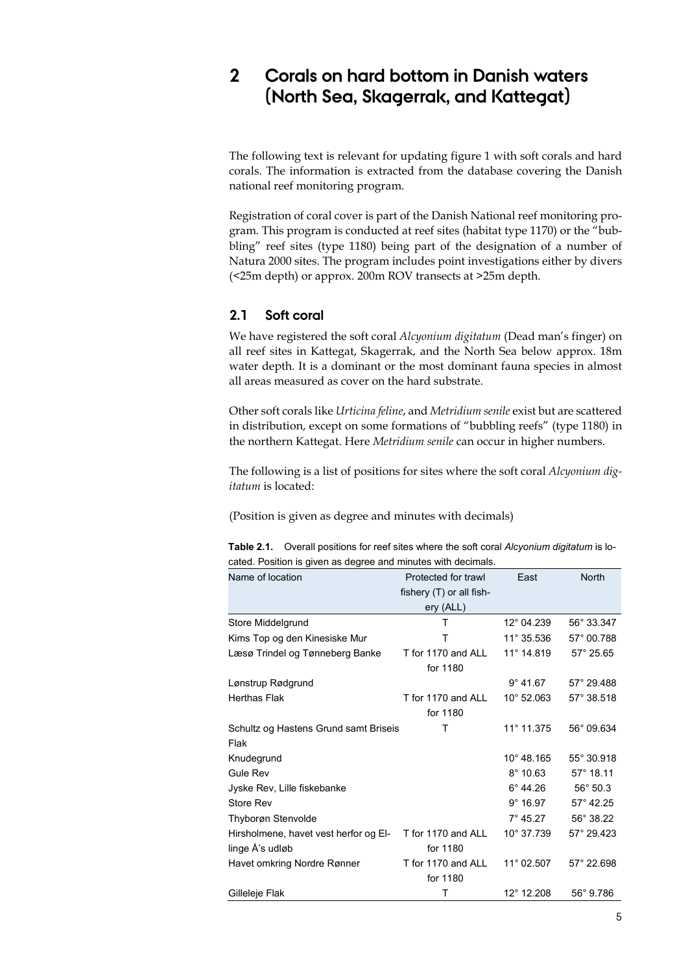#### **2 Corals on hard bottom in Danish waters (North Sea, Skagerrak, and Kattegat)**

The following text is relevant for updating figure 1 with soft corals and hard corals. The information is extracted from the database covering the Danish national reef monitoring program.

Registration of coral cover is part of the Danish National reef monitoring program. This program is conducted at reef sites (habitat type 1170) or the "bubbling" reef sites (type 1180) being part of the designation of a number of Natura 2000 sites. The program includes point investigations either by divers (<25m depth) or approx. 200m ROV transects at >25m depth.

#### **2.1 Soft coral**

We have registered the soft coral *Alcyonium digitatum* (Dead man's finger) on all reef sites in Kattegat, Skagerrak, and the North Sea below approx. 18m water depth. It is a dominant or the most dominant fauna species in almost all areas measured as cover on the hard substrate.

Other soft corals like *Urticina feline*, and *Metridium senile* exist but are scattered in distribution, except on some formations of "bubbling reefs" (type 1180) in the northern Kattegat. Here *Metridium senile* can occur in higher numbers.

The following is a list of positions for sites where the soft coral *Alcyonium digitatum* is located:

(Position is given as degree and minutes with decimals)

| Name of location                      | Protected for trawl      | East                | <b>North</b>       |
|---------------------------------------|--------------------------|---------------------|--------------------|
|                                       | fishery (T) or all fish- |                     |                    |
|                                       | ery (ALL)                |                     |                    |
| Store Middelgrund                     | т                        | 12° 04.239          | 56° 33.347         |
| Kims Top og den Kinesiske Mur         | т                        | 11° 35.536          | 57° 00.788         |
| Læsø Trindel og Tønneberg Banke       | T for 1170 and ALL       | 11° 14.819          | 57° 25.65          |
|                                       | for 1180                 |                     |                    |
| Lønstrup Rødgrund                     |                          | $9^{\circ}$ 41.67   | 57° 29.488         |
| Herthas Flak                          | T for 1170 and ALL       | 10° 52.063          | 57° 38.518         |
|                                       | for 1180                 |                     |                    |
| Schultz og Hastens Grund samt Briseis | т                        | 11° 11.375          | 56° 09.634         |
| Flak                                  |                          |                     |                    |
| Knudegrund                            |                          | 10° 48.165          | 55° 30.918         |
| Gule Rev                              |                          | $8^{\circ}$ 10.63   | 57° 18.11          |
| Jyske Rev, Lille fiskebanke           |                          | $6^{\circ}$ 44.26   | $56^{\circ} 50.3$  |
| Store Rev                             |                          | $9^{\circ}$ 16.97   | $57^{\circ}$ 42.25 |
| Thyborøn Stenvolde                    |                          | $7^{\circ}$ 45.27   | 56° 38.22          |
| Hirsholmene, havet vest herfor og El- | T for 1170 and ALL       | 10° 37.739          | 57° 29.423         |
| linge Å's udløb                       | for 1180                 |                     |                    |
| Havet omkring Nordre Rønner           | T for 1170 and ALL       | $11^{\circ}$ 02.507 | 57° 22.698         |
|                                       | for 1180                 |                     |                    |
| Gilleleje Flak                        | т                        | 12° 12.208          | 56° 9.786          |

**Table 2.1.** Overall positions for reef sites where the soft coral *Alcyonium digitatum* is located. Position is given as degree and minutes with decimals.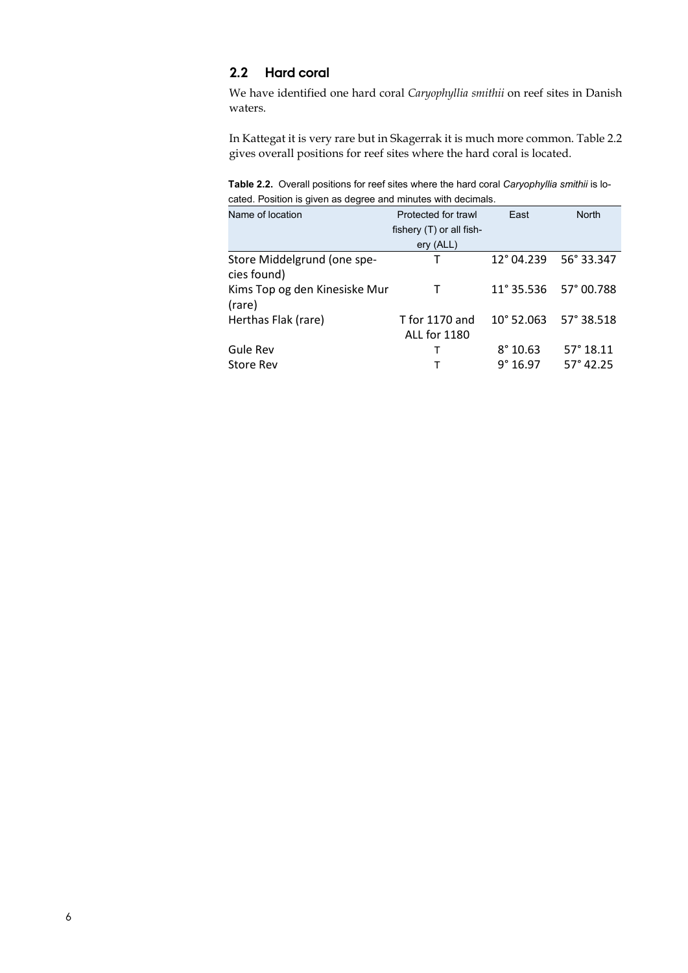#### **2.2 Hard coral**

We have identified one hard coral *Caryophyllia smithii* on reef sites in Danish waters.

In Kattegat it is very rare but in Skagerrak it is much more common. Table 2.2 gives overall positions for reef sites where the hard coral is located.

**Table 2.2.** Overall positions for reef sites where the hard coral *Caryophyllia smithii* is located. Position is given as degree and minutes with decimals.

| Name of location              | Protected for trawl      | East                | <b>North</b>       |
|-------------------------------|--------------------------|---------------------|--------------------|
|                               | fishery (T) or all fish- |                     |                    |
|                               | ery (ALL)                |                     |                    |
| Store Middelgrund (one spe-   | Т                        | 12° 04.239          | 56° 33.347         |
| cies found)                   |                          |                     |                    |
| Kims Top og den Kinesiske Mur | Т                        | $11^{\circ} 35.536$ | 57° 00.788         |
| (rare)                        |                          |                     |                    |
| Herthas Flak (rare)           | T for 1170 and           | $10^{\circ}$ 52.063 | 57° 38.518         |
|                               | <b>ALL for 1180</b>      |                     |                    |
| Gule Rev                      | т                        | $8^{\circ}$ 10.63   | $57^{\circ} 18.11$ |
| <b>Store Rev</b>              |                          | 9°16.97             | $57^{\circ}$ 42.25 |
|                               |                          |                     |                    |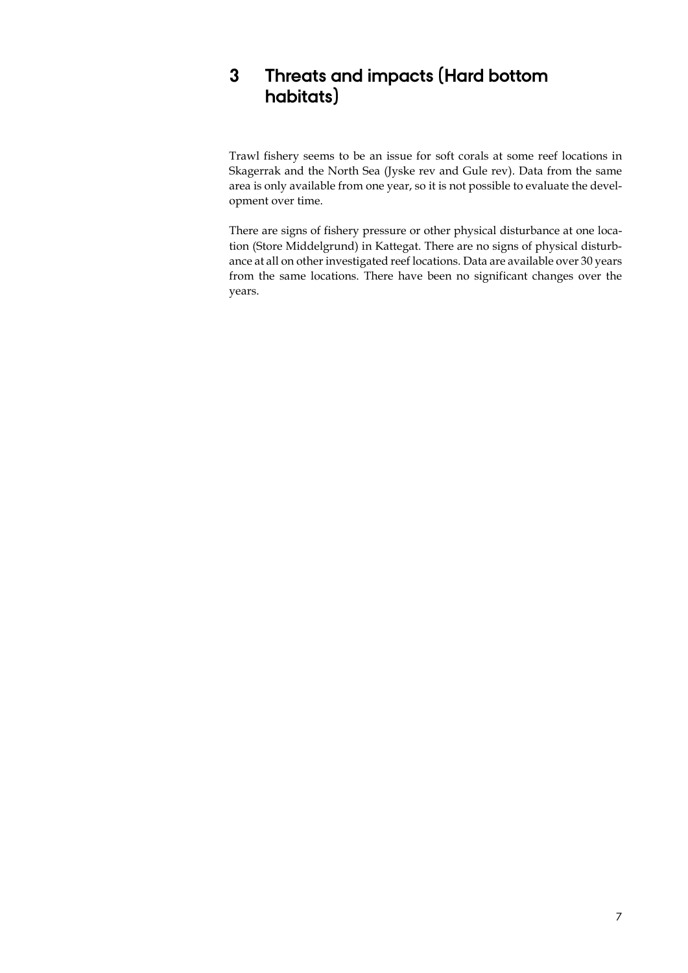## **3 Threats and impacts (Hard bottom habitats)**

Trawl fishery seems to be an issue for soft corals at some reef locations in Skagerrak and the North Sea (Jyske rev and Gule rev). Data from the same area is only available from one year, so it is not possible to evaluate the development over time.

There are signs of fishery pressure or other physical disturbance at one location (Store Middelgrund) in Kattegat. There are no signs of physical disturbance at all on other investigated reef locations. Data are available over 30 years from the same locations. There have been no significant changes over the years.